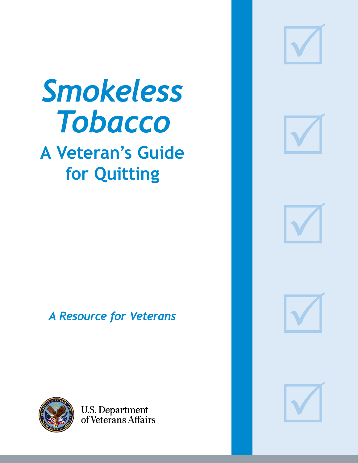

# *Smokeless Tobacco*

# **A Veteran's Guide for Quitting**



*A Resource for Veterans*







**U.S. Department**<br>of Veterans Affairs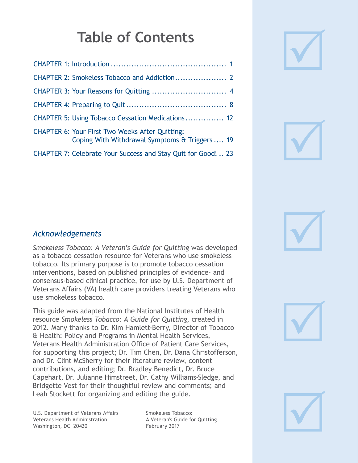# **Table of Contents**

| <b>CHAPTER 5: Using Tobacco Cessation Medications 12</b>                                                 |
|----------------------------------------------------------------------------------------------------------|
| <b>CHAPTER 6: Your First Two Weeks After Quitting:</b><br>Coping With Withdrawal Symptoms & Triggers  19 |
| <b>CHAPTER 7: Celebrate Your Success and Stay Quit for Good!  23</b>                                     |



#### *Acknowledgements*

*Smokeless Tobacco: A Veteran's Guide for Quitting* was developed as a tobacco cessation resource for Veterans who use smokeless tobacco. Its primary purpose is to promote tobacco cessation interventions, based on published principles of evidence- and consensus-based clinical practice, for use by U.S. Department of Veterans Affairs (VA) health care providers treating Veterans who use smokeless tobacco.

This guide was adapted from the National Institutes of Health resource *Smokeless Tobacco: A Guide for Quitting*, created in 2012. Many thanks to Dr. Kim Hamlett-Berry, Director of Tobacco & Health: Policy and Programs in Mental Health Services, Veterans Health Administration Office of Patient Care Services, for supporting this project; Dr. Tim Chen, Dr. Dana Christofferson, and Dr. Clint McSherry for their literature review, content contributions, and editing; Dr. Bradley Benedict, Dr. Bruce Capehart, Dr. Julianne Himstreet, Dr. Cathy Williams-Sledge, and Bridgette Vest for their thoughtful review and comments; and Leah Stockett for organizing and editing the guide.

U.S. Department of Veterans Affairs Veterans Health Administration Washington, DC 20420

Smokeless Tobacco: A Veteran's Guide for Quitting February 2017





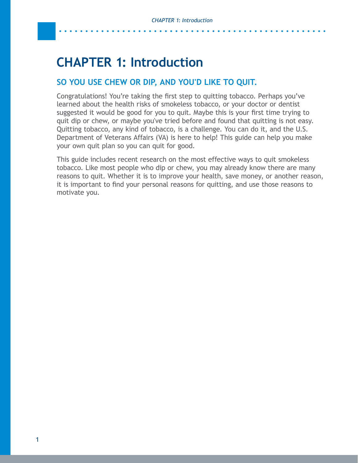# <span id="page-2-0"></span>**CHAPTER 1: Introduction**

#### **SO YOU USE CHEW OR DIP, AND YOU'D LIKE TO QUIT.**

Congratulations! You're taking the first step to quitting tobacco. Perhaps you've learned about the health risks of smokeless tobacco, or your doctor or dentist suggested it would be good for you to quit. Maybe this is your first time trying to quit dip or chew, or maybe you've tried before and found that quitting is not easy. Quitting tobacco, any kind of tobacco, is a challenge. You can do it, and the U.S. Department of Veterans Affairs (VA) is here to help! This guide can help you make your own quit plan so you can quit for good.

This guide includes recent research on the most effective ways to quit smokeless tobacco. Like most people who dip or chew, you may already know there are many reasons to quit. Whether it is to improve your health, save money, or another reason, it is important to find your personal reasons for quitting, and use those reasons to motivate you.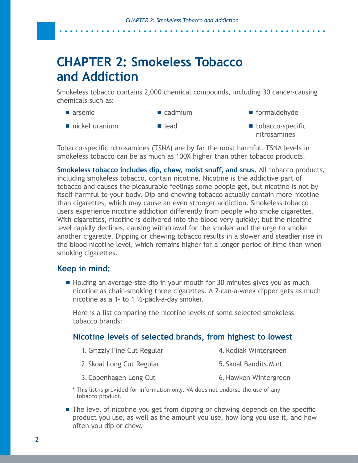# <span id="page-3-0"></span>**CHAPTER 2: Smokeless Tobacco and Addiction**

Smokeless tobacco contains 2,000 chemical compounds, including 30 cancer-causing chemicals such as:

- arsenic cadmium
- nickel uranium lead
- formaldehyde
- tobacco-specific nitrosamines

Tobacco-specific nitrosamines (TSNA) are by far the most harmful. TSNA levels in smokeless tobacco can be as much as 100X higher than other tobacco products.

**Smokeless tobacco includes dip, chew, moist snuff, and snus.** All tobacco products, including smokeless tobacco, contain nicotine. Nicotine is the addictive part of tobacco and causes the pleasurable feelings some people get, but nicotine is not by itself harmful to your body. Dip and chewing tobacco actually contain more nicotine than cigarettes, which may cause an even stronger addiction. Smokeless tobacco users experience nicotine addiction differently from people who smoke cigarettes. With cigarettes, nicotine is delivered into the blood very quickly; but the nicotine level rapidly declines, causing withdrawal for the smoker and the urge to smoke another cigarette. Dipping or chewing tobacco results in a slower and steadier rise in the blood nicotine level, which remains higher for a longer period of time than when smoking cigarettes.

#### **Keep in mind:**

Holding an average-size dip in your mouth for 30 minutes gives you as much nicotine as chain-smoking three cigarettes. A 2-can-a-week dipper gets as much nicotine as a 1- to 1 ½-pack-a-day smoker.

Here is a list comparing the nicotine levels of some selected smokeless tobacco brands:

#### **Nicotine levels of selected brands, from highest to lowest**

- 1. Grizzly Fine Cut Regular 4.Kodiak Wintergreen
	- 2. Skoal Long Cut Regular 5. Skoal Bandits Mint
	- 3.Copenhagen Long Cut 6.Hawken Wintergreen
- \* This list is provided for information only. VA does not endorse the use of any tobacco product.
- **The level of nicotine you get from dipping or chewing depends on the specific** product you use, as well as the amount you use, how long you use it, and how often you dip or chew.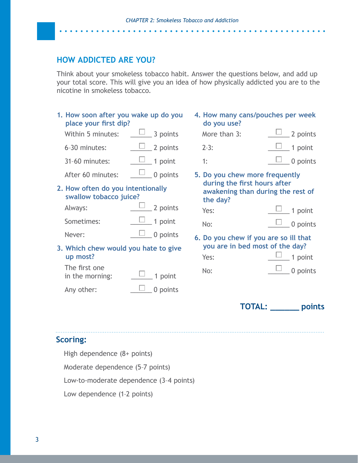#### **HOW ADDICTED ARE YOU?**

Think about your smokeless tobacco habit. Answer the questions below, and add up your total score. This will give you an idea of how physically addicted you are to the nicotine in smokeless tobacco.

| 1. How soon after you wake up do you<br>place your first dip?<br>Within 5 minutes: | $\Box$ 3 points                    | do you use?<br>More than 3:                                                   | 4. How many cans/pouches per week<br>2 points |
|------------------------------------------------------------------------------------|------------------------------------|-------------------------------------------------------------------------------|-----------------------------------------------|
| 6-30 minutes:                                                                      | $\frac{\square}{\square}$ 2 points | $2-3:$                                                                        | 1 point                                       |
| 31-60 minutes:                                                                     | $\frac{\square}{\square}$ 1 point  | 1:                                                                            | 0 points                                      |
| After 60 minutes:                                                                  | $\Box$ 0 points                    | 5. Do you chew more frequently                                                |                                               |
| 2. How often do you intentionally<br>swallow tobacco juice?                        |                                    | during the first hours after<br>awakening than during the rest of<br>the day? |                                               |
| Always:                                                                            | $\frac{\Box}{\Box}$ 2 points       | Yes:                                                                          | 1 point                                       |
| Sometimes:                                                                         | $\frac{\Box}{\Box}$ 1 point        | No:                                                                           | 0 points                                      |
| Never:                                                                             | 0 points                           |                                                                               | 6. Do you chew if you are so ill that         |
| 3. Which chew would you hate to give<br>up most?                                   |                                    | Yes:                                                                          | you are in bed most of the day?<br>1 point    |
| The first one<br>in the morning:                                                   | 1 point                            | No:                                                                           | 0 points                                      |
| Any other:                                                                         | 0 points                           |                                                                               |                                               |

#### **TOTAL: \_\_\_\_\_\_ points**

#### **Scoring:**

High dependence (8+ points)

Moderate dependence (5–7 points)

Low-to-moderate dependence (3–4 points)

Low dependence (1–2 points)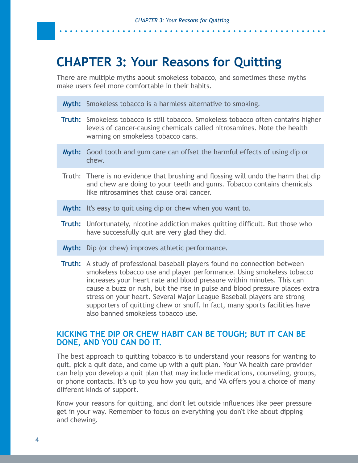### <span id="page-5-0"></span>**CHAPTER 3: Your Reasons for Quitting**

There are multiple myths about smokeless tobacco, and sometimes these myths make users feel more comfortable in their habits.

**Myth:** Smokeless tobacco is a harmless alternative to smoking.

- **Truth:** Smokeless tobacco is still tobacco. Smokeless tobacco often contains higher levels of cancer-causing chemicals called nitrosamines. Note the health warning on smokeless tobacco cans.
- **Myth:** Good tooth and gum care can offset the harmful effects of using dip or chew.
- Truth: There is no evidence that brushing and flossing will undo the harm that dip and chew are doing to your teeth and gums. Tobacco contains chemicals like nitrosamines that cause oral cancer.
- **Myth:** It's easy to quit using dip or chew when you want to.
- **Truth:** Unfortunately, nicotine addiction makes quitting difficult. But those who have successfully quit are very glad they did.
- **Myth:** Dip (or chew) improves athletic performance.
- **Truth:** A study of professional baseball players found no connection between smokeless tobacco use and player performance. Using smokeless tobacco increases your heart rate and blood pressure within minutes. This can cause a buzz or rush, but the rise in pulse and blood pressure places extra stress on your heart. Several Major League Baseball players are strong supporters of quitting chew or snuff. In fact, many sports facilities have also banned smokeless tobacco use.

#### **KICKING THE DIP OR CHEW HABIT CAN BE TOUGH; BUT IT CAN BE DONE, AND YOU CAN DO IT.**

The best approach to quitting tobacco is to understand your reasons for wanting to quit, pick a quit date, and come up with a quit plan. Your VA health care provider can help you develop a quit plan that may include medications, counseling, groups, or phone contacts. It's up to you how you quit, and VA offers you a choice of many different kinds of support.

Know your reasons for quitting, and don't let outside influences like peer pressure get in your way. Remember to focus on everything you don't like about dipping and chewing.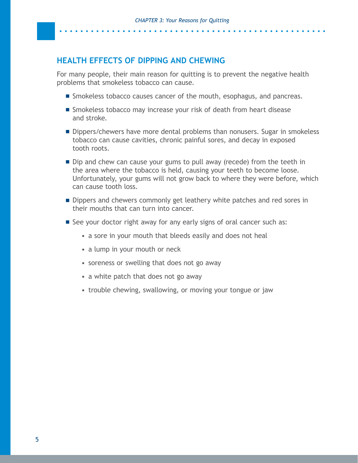#### **HEALTH EFFECTS OF DIPPING AND CHEWING**

For many people, their main reason for quitting is to prevent the negative health problems that smokeless tobacco can cause.

- **Smokeless tobacco causes cancer of the mouth, esophagus, and pancreas.**
- Smokeless tobacco may increase your risk of death from heart disease and stroke.
- Dippers/chewers have more dental problems than nonusers. Sugar in smokeless tobacco can cause cavities, chronic painful sores, and decay in exposed tooth roots.
- Dip and chew can cause your gums to pull away (recede) from the teeth in the area where the tobacco is held, causing your teeth to become loose. Unfortunately, your gums will not grow back to where they were before, which can cause tooth loss.
- Dippers and chewers commonly get leathery white patches and red sores in their mouths that can turn into cancer.
- See your doctor right away for any early signs of oral cancer such as:
	- a sore in your mouth that bleeds easily and does not heal
	- a lump in your mouth or neck
	- soreness or swelling that does not go away
	- a white patch that does not go away
	- trouble chewing, swallowing, or moving your tongue or jaw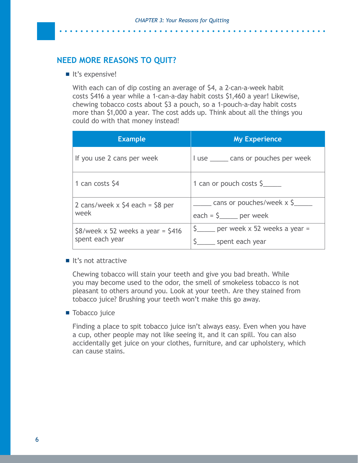#### **NEED MORE REASONS TO QUIT?**

■ It's expensive!

With each can of dip costing an average of \$4, a 2-can-a-week habit costs \$416 a year while a 1-can-a-day habit costs \$1,460 a year! Likewise, chewing tobacco costs about \$3 a pouch, so a 1-pouch-a-day habit costs more than \$1,000 a year. The cost adds up. Think about all the things you could do with that money instead!

| <b>Example</b>                                           | <b>My Experience</b>                                          |
|----------------------------------------------------------|---------------------------------------------------------------|
| If you use 2 cans per week                               | I use ______ cans or pouches per week                         |
| 1 can costs \$4                                          | 1 can or pouch costs $\frac{5}{2}$                            |
| 2 cans/week $x$ \$4 each = \$8 per<br>week               | cans or pouches/week x \$<br>each = $\frac{5}{2}$ per week    |
| $$8$ /week x 52 weeks a year = $$416$<br>spent each year | $\frac{5}{2}$ per week x 52 weeks a year =<br>spent each year |

#### $\blacksquare$  It's not attractive

Chewing tobacco will stain your teeth and give you bad breath. While you may become used to the odor, the smell of smokeless tobacco is not pleasant to others around you. Look at your teeth. Are they stained from tobacco juice? Brushing your teeth won't make this go away.

#### **Tobacco** juice

Finding a place to spit tobacco juice isn't always easy. Even when you have a cup, other people may not like seeing it, and it can spill. You can also accidentally get juice on your clothes, furniture, and car upholstery, which can cause stains.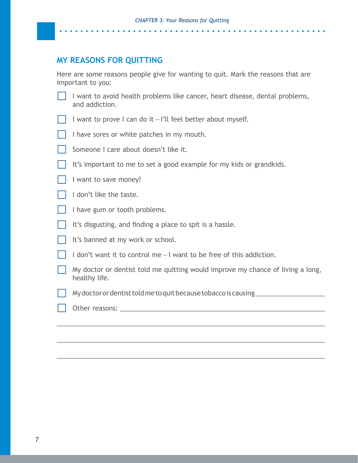#### **MY REASONS FOR QUITTING**

Here are some reasons people give for wanting to quit. Mark the reasons that are important to you:

- I want to avoid health problems like cancer, heart disease, dental problems, and addiction.
- I want to prove I can do it  $-1$ 'll feel better about myself.
- I have sores or white patches in my mouth.
- Someone I care about doesn't like it.
- It's important to me to set a good example for my kids or grandkids.
- I want to save money!
- I don't like the taste.
- I have gum or tooth problems.
- It's disgusting, and finding a place to spit is a hassle.
- It's banned at my work or school.
- $\frac{1}{2}$  don't want it to control me  $\frac{1}{2}$  want to be free of this addiction.
- My doctor or dentist told me quitting would improve my chance of living a long, healthy life.

\_\_\_\_\_\_\_\_\_\_\_\_\_\_\_\_\_\_\_\_\_\_\_\_\_\_\_\_\_\_\_\_\_\_\_\_\_\_\_\_\_\_\_\_\_\_\_\_\_\_\_\_\_\_\_\_\_\_\_\_\_\_\_\_\_\_\_\_\_\_\_\_\_

\_\_\_\_\_\_\_\_\_\_\_\_\_\_\_\_\_\_\_\_\_\_\_\_\_\_\_\_\_\_\_\_\_\_\_\_\_\_\_\_\_\_\_\_\_\_\_\_\_\_\_\_\_\_\_\_\_\_\_\_\_\_\_\_\_\_\_\_\_\_\_\_\_

\_\_\_\_\_\_\_\_\_\_\_\_\_\_\_\_\_\_\_\_\_\_\_\_\_\_\_\_\_\_\_\_\_\_\_\_\_\_\_\_\_\_\_\_\_\_\_\_\_\_\_\_\_\_\_\_\_\_\_\_\_\_\_\_\_\_\_\_\_\_\_\_\_

- My doctor or dentist told me to quit because tobacco is causing
- Other reasons:  $\Box$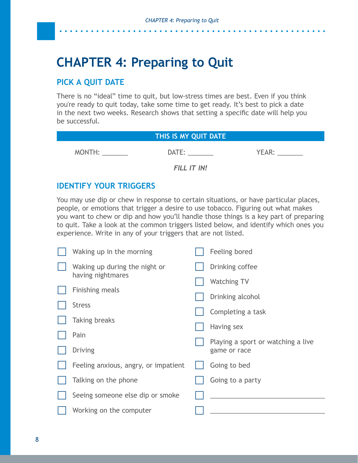# <span id="page-9-0"></span>**CHAPTER 4: Preparing to Quit**

#### **PICK A QUIT DATE**

There is no "ideal" time to quit, but low-stress times are best. Even if you think you're ready to quit today, take some time to get ready. It's best to pick a date in the next two weeks. Research shows that setting a specific date will help you be successful.

|        | THIS IS MY QUIT DATE |       |
|--------|----------------------|-------|
| MONTH: | DATE:                | YEAR: |
|        | FILL IT IN!          |       |

#### **IDENTIFY YOUR TRIGGERS**

You may use dip or chew in response to certain situations, or have particular places, people, or emotions that trigger a desire to use tobacco. Figuring out what makes you want to chew or dip and how you'll handle those things is a key part of preparing to quit. Take a look at the common triggers listed below, and identify which ones you experience. Write in any of your triggers that are not listed.

| Waking up in the morning             | Feeling bored                      |
|--------------------------------------|------------------------------------|
| Waking up during the night or        | Drinking coffee                    |
| having nightmares                    | <b>Watching TV</b>                 |
| <b>Finishing meals</b>               | Drinking alcohol                   |
| <b>Stress</b>                        | Completing a task                  |
| <b>Taking breaks</b>                 | Having sex                         |
| Pain                                 | Playing a sport or watching a live |
| <b>Driving</b>                       | game or race                       |
| Feeling anxious, angry, or impatient | Going to bed                       |
| Talking on the phone                 | Going to a party                   |
| Seeing someone else dip or smoke     |                                    |
| Working on the computer              |                                    |
|                                      |                                    |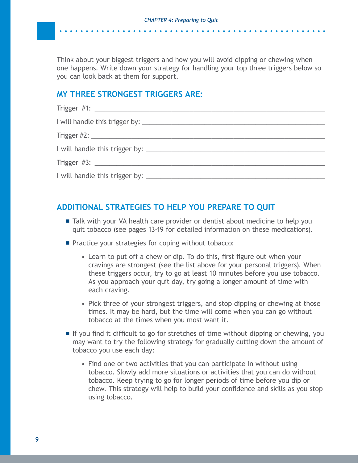Think about your biggest triggers and how you will avoid dipping or chewing when one happens. Write down your strategy for handling your top three triggers below so you can look back at them for support.

#### **MY THREE STRONGEST TRIGGERS ARE:**

#### **ADDITIONAL STRATEGIES TO HELP YOU PREPARE TO QUIT**

- **Talk with your VA health care provider or dentist about medicine to help you** quit tobacco (see pages 13-19 for detailed information on these medications).
- **Practice your strategies for coping without tobacco:** 
	- Learn to put off a chew or dip. To do this, first figure out when your cravings are strongest (see the list above for your personal triggers). When these triggers occur, try to go at least 10 minutes before you use tobacco. As you approach your quit day, try going a longer amount of time with each craving.
	- Pick three of your strongest triggers, and stop dipping or chewing at those times. It may be hard, but the time will come when you can go without tobacco at the times when you most want it.
- If you find it difficult to go for stretches of time without dipping or chewing, you may want to try the following strategy for gradually cutting down the amount of tobacco you use each day:
	- Find one or two activities that you can participate in without using tobacco. Slowly add more situations or activities that you can do without tobacco. Keep trying to go for longer periods of time before you dip or chew. This strategy will help to build your confidence and skills as you stop using tobacco.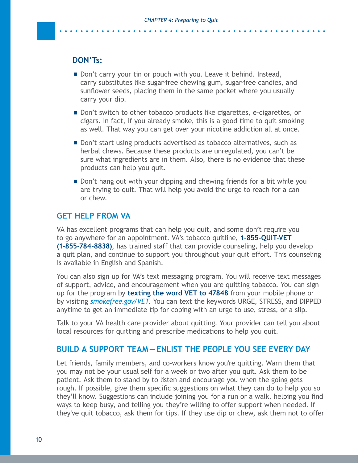#### **DON'Ts:**

- Don't carry your tin or pouch with you. Leave it behind. Instead, carry substitutes like sugar-free chewing gum, sugar-free candies, and sunflower seeds, placing them in the same pocket where you usually carry your dip.
- Don't switch to other tobacco products like cigarettes, e-cigarettes, or cigars. In fact, if you already smoke, this is a good time to quit smoking as well. That way you can get over your nicotine addiction all at once.
- Don't start using products advertised as tobacco alternatives, such as herbal chews. Because these products are unregulated, you can't be sure what ingredients are in them. Also, there is no evidence that these products can help you quit.
- **Don't hang out with your dipping and chewing friends for a bit while you** are trying to quit. That will help you avoid the urge to reach for a can or chew.

#### **GET HELP FROM VA**

VA has excellent programs that can help you quit, and some don't require you to go anywhere for an appointment. VA's tobacco quitline, **1-855-QUIT-VET (1-855-784-8838)**, has trained staff that can provide counseling, help you develop a quit plan, and continue to support you throughout your quit effort. This counseling is available in English and Spanish.

You can also sign up for VA's text messaging program. You will receive text messages of support, advice, and encouragement when you are quitting tobacco. You can sign up for the program by **texting the word VET to 47848** from your mobile phone or by visiting *[smokefree.gov/VET](http://smokefree.gov/VET)*. You can text the keywords URGE, STRESS, and DIPPED anytime to get an immediate tip for coping with an urge to use, stress, or a slip.

Talk to your VA health care provider about quitting. Your provider can tell you about local resources for quitting and prescribe medications to help you quit.

#### **BUILD A SUPPORT TEAM—ENLIST THE PEOPLE YOU SEE EVERY DAY**

Let friends, family members, and co-workers know you're quitting. Warn them that you may not be your usual self for a week or two after you quit. Ask them to be patient. Ask them to stand by to listen and encourage you when the going gets rough. If possible, give them specific suggestions on what they can do to help you so they'll know. Suggestions can include joining you for a run or a walk, helping you find ways to keep busy, and telling you they're willing to offer support when needed. If they've quit tobacco, ask them for tips. If they use dip or chew, ask them not to offer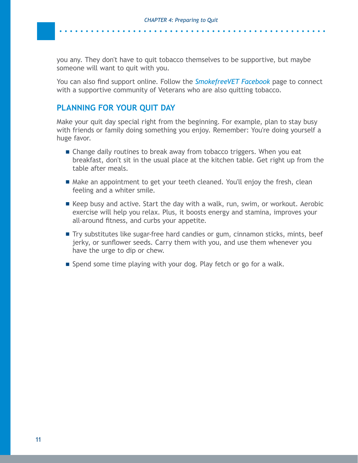you any. They don't have to quit tobacco themselves to be supportive, but maybe someone will want to quit with you.

You can also find support online. Follow the *[SmokefreeVET Facebook](https://www.facebook.com/smokefreevet/)* page to connect with a supportive community of Veterans who are also quitting tobacco.

#### **PLANNING FOR YOUR QUIT DAY**

Make your quit day special right from the beginning. For example, plan to stay busy with friends or family doing something you enjoy. Remember: You're doing yourself a huge favor.

- **E** Change daily routines to break away from tobacco triggers. When you eat breakfast, don't sit in the usual place at the kitchen table. Get right up from the table after meals.
- Make an appointment to get your teeth cleaned. You'll enjoy the fresh, clean feeling and a whiter smile.
- Keep busy and active. Start the day with a walk, run, swim, or workout. Aerobic exercise will help you relax. Plus, it boosts energy and stamina, improves your all-around fitness, and curbs your appetite.
- Try substitutes like sugar-free hard candies or gum, cinnamon sticks, mints, beef jerky, or sunflower seeds. Carry them with you, and use them whenever you have the urge to dip or chew.
- Spend some time playing with your dog. Play fetch or go for a walk.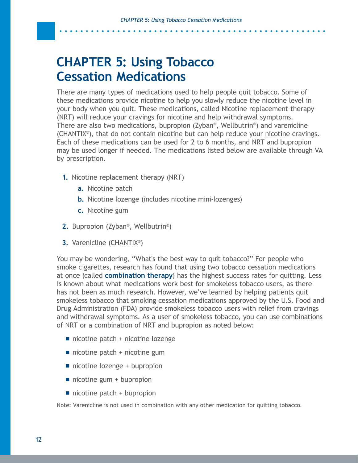# <span id="page-13-0"></span>**CHAPTER 5: Using Tobacco Cessation Medications**

There are many types of medications used to help people quit tobacco. Some of these medications provide nicotine to help you slowly reduce the nicotine level in your body when you quit. These medications, called Nicotine replacement therapy (NRT) will reduce your cravings for nicotine and help withdrawal symptoms. There are also two medications, bupropion (Zyban®, Wellbutrin®) and varenicline (CHANTIX®), that do not contain nicotine but can help reduce your nicotine cravings. Each of these medications can be used for 2 to 6 months, and NRT and bupropion may be used longer if needed. The medications listed below are available through VA by prescription.

- **1.** Nicotine replacement therapy (NRT)
	- **a.** Nicotine patch
	- **b.** Nicotine lozenge (includes nicotine mini-lozenges)
	- **c.** Nicotine gum
- **2.** Bupropion (Zyban®, Wellbutrin®)
- **3.** Varenicline (CHANTIX®)

You may be wondering, "What's the best way to quit tobacco?" For people who smoke cigarettes, research has found that using two tobacco cessation medications at once (called **combination therapy**) has the highest success rates for quitting. Less is known about what medications work best for smokeless tobacco users, as there has not been as much research. However, we've learned by helping patients quit smokeless tobacco that smoking cessation medications approved by the U.S. Food and Drug Administration (FDA) provide smokeless tobacco users with relief from cravings and withdrawal symptoms. As a user of smokeless tobacco, you can use combinations of NRT or a combination of NRT and bupropion as noted below:

- nicotine patch + nicotine lozenge
- $\blacksquare$  nicotine patch + nicotine gum
- nicotine lozenge + bupropion
- $\blacksquare$  nicotine gum + bupropion
- $\blacksquare$  nicotine patch + bupropion

Note: Varenicline is not used in combination with any other medication for quitting tobacco.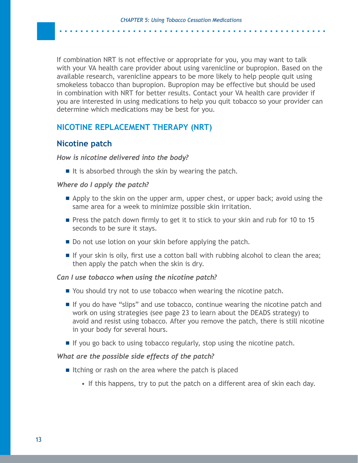. . . . . . . . . . . . . . . . . .

If combination NRT is not effective or appropriate for you, you may want to talk with your VA health care provider about using varenicline or bupropion. Based on the available research, varenicline appears to be more likely to help people quit using smokeless tobacco than bupropion. Bupropion may be effective but should be used in combination with NRT for better results. Contact your VA health care provider if you are interested in using medications to help you quit tobacco so your provider can determine which medications may be best for you.

#### **NICOTINE REPLACEMENT THERAPY (NRT)**

#### **Nicotine patch**

#### *How is nicotine delivered into the body?*

If it is absorbed through the skin by wearing the patch.

#### *Where do I apply the patch?*

- Apply to the skin on the upper arm, upper chest, or upper back; avoid using the same area for a week to minimize possible skin irritation.
- **Press the patch down firmly to get it to stick to your skin and rub for 10 to 15** seconds to be sure it stays.
- Do not use lotion on your skin before applying the patch.
- $\blacksquare$  If your skin is oily, first use a cotton ball with rubbing alcohol to clean the area; then apply the patch when the skin is dry.

#### *Can I use tobacco when using the nicotine patch?*

- You should try not to use tobacco when wearing the nicotine patch.
- If you do have "slips" and use tobacco, continue wearing the nicotine patch and work on using strategies (see page 23 to learn about the DEADS strategy) to avoid and resist using tobacco. After you remove the patch, there is still nicotine in your body for several hours.
- $\blacksquare$  If you go back to using tobacco regularly, stop using the nicotine patch.

#### *What are the possible side effects of the patch?*

- Itching or rash on the area where the patch is placed
	- If this happens, try to put the patch on a different area of skin each day.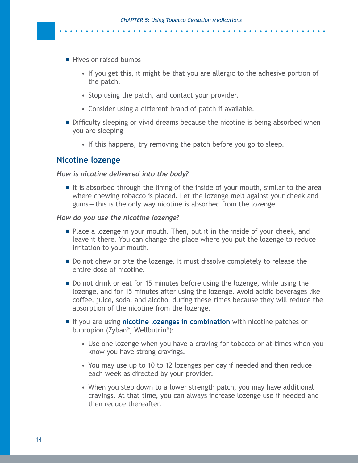- Hives or raised bumps
	- If you get this, it might be that you are allergic to the adhesive portion of the patch.

- Stop using the patch, and contact your provider.
- Consider using a different brand of patch if available.
- **Difficulty sleeping or vivid dreams because the nicotine is being absorbed when** you are sleeping
	- If this happens, try removing the patch before you go to sleep.

#### **Nicotine lozenge**

#### *How is nicotine delivered into the body?*

 $\blacksquare$  It is absorbed through the lining of the inside of your mouth, similar to the area where chewing tobacco is placed. Let the lozenge melt against your cheek and gums—this is the only way nicotine is absorbed from the lozenge.

#### *How do you use the nicotine lozenge?*

- **Place a lozenge in your mouth. Then, put it in the inside of your cheek, and** leave it there. You can change the place where you put the lozenge to reduce irritation to your mouth.
- Do not chew or bite the lozenge. It must dissolve completely to release the entire dose of nicotine.
- Do not drink or eat for 15 minutes before using the lozenge, while using the lozenge, and for 15 minutes after using the lozenge. Avoid acidic beverages like coffee, juice, soda, and alcohol during these times because they will reduce the absorption of the nicotine from the lozenge.
- If you are using **nicotine lozenges in combination** with nicotine patches or bupropion (Zyban®, Wellbutrin®):
	- Use one lozenge when you have a craving for tobacco or at times when you know you have strong cravings.
	- You may use up to 10 to 12 lozenges per day if needed and then reduce each week as directed by your provider.
	- When you step down to a lower strength patch, you may have additional cravings. At that time, you can always increase lozenge use if needed and then reduce thereafter.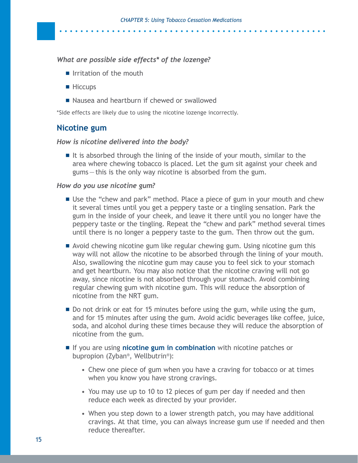#### *What are possible side effects\* of the lozenge?*

- $\blacksquare$  Irritation of the mouth
- Hiccups
- Nausea and heartburn if chewed or swallowed

\*Side effects are likely due to using the nicotine lozenge incorrectly.

#### **Nicotine gum**

#### *How is nicotine delivered into the body?*

It is absorbed through the lining of the inside of your mouth, similar to the area where chewing tobacco is placed. Let the gum sit against your cheek and gums—this is the only way nicotine is absorbed from the gum.

#### *How do you use nicotine gum?*

- Use the "chew and park" method. Place a piece of gum in your mouth and chew it several times until you get a peppery taste or a tingling sensation. Park the gum in the inside of your cheek, and leave it there until you no longer have the peppery taste or the tingling. Repeat the "chew and park" method several times until there is no longer a peppery taste to the gum. Then throw out the gum.
- Avoid chewing nicotine gum like regular chewing gum. Using nicotine gum this way will not allow the nicotine to be absorbed through the lining of your mouth. Also, swallowing the nicotine gum may cause you to feel sick to your stomach and get heartburn. You may also notice that the nicotine craving will not go away, since nicotine is not absorbed through your stomach. Avoid combining regular chewing gum with nicotine gum. This will reduce the absorption of nicotine from the NRT gum.
- Do not drink or eat for 15 minutes before using the gum, while using the gum, and for 15 minutes after using the gum. Avoid acidic beverages like coffee, juice, soda, and alcohol during these times because they will reduce the absorption of nicotine from the gum.
- If you are using **nicotine gum in combination** with nicotine patches or bupropion (Zyban®, Wellbutrin®):
	- Chew one piece of gum when you have a craving for tobacco or at times when you know you have strong cravings.
	- You may use up to 10 to 12 pieces of gum per day if needed and then reduce each week as directed by your provider.
	- When you step down to a lower strength patch, you may have additional cravings. At that time, you can always increase gum use if needed and then reduce thereafter.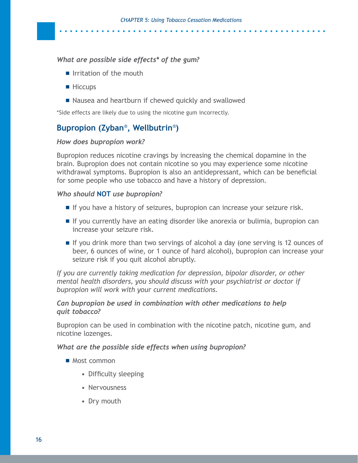. . . . . . . . . . . . .

#### *What are possible side effects\* of the gum?*

- $\blacksquare$  Irritation of the mouth
- **Hiccups**
- Nausea and heartburn if chewed quickly and swallowed

\*Side effects are likely due to using the nicotine gum incorrectly.

#### **Bupropion (Zyban**®**, Wellbutrin**®**)**

#### *How does bupropion work?*

Bupropion reduces nicotine cravings by increasing the chemical dopamine in the brain. Bupropion does not contain nicotine so you may experience some nicotine withdrawal symptoms. Bupropion is also an antidepressant, which can be beneficial for some people who use tobacco and have a history of depression.

#### *Who should* **NOT** *use bupropion?*

- If you have a history of seizures, bupropion can increase your seizure risk.
- If you currently have an eating disorder like anorexia or bulimia, bupropion can increase your seizure risk.
- If you drink more than two servings of alcohol a day (one serving is 12 ounces of beer, 6 ounces of wine, or 1 ounce of hard alcohol), bupropion can increase your seizure risk if you quit alcohol abruptly.

*If you are currently taking medication for depression, bipolar disorder, or other mental health disorders, you should discuss with your psychiatrist or doctor if bupropion will work with your current medications.*

#### *Can bupropion be used in combination with other medications to help quit tobacco?*

Bupropion can be used in combination with the nicotine patch, nicotine gum, and nicotine lozenges.

#### *What are the possible side effects when using bupropion?*

- Most common
	- Difficulty sleeping
	- Nervousness
	- Dry mouth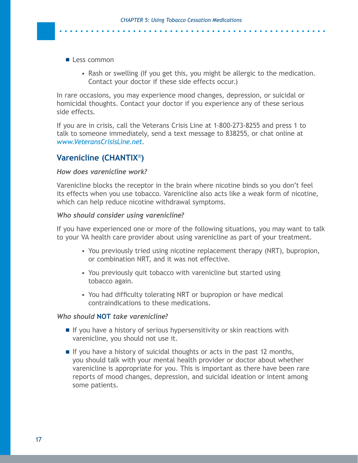- Less common
	- Rash or swelling (If you get this, you might be allergic to the medication. Contact your doctor if these side effects occur.)

In rare occasions, you may experience mood changes, depression, or suicidal or homicidal thoughts. Contact your doctor if you experience any of these serious side effects.

If you are in crisis, call the Veterans Crisis Line at 1-800-273-8255 and press 1 to talk to someone immediately, send a text message to 838255, or chat online at *[www.VeteransCrisisLine.net](http://www.VeteransCrisisLine.net)*.

#### **Varenicline (CHANTIX**®**)**

#### *How does varenicline work?*

Varenicline blocks the receptor in the brain where nicotine binds so you don't feel its effects when you use tobacco. Varenicline also acts like a weak form of nicotine, which can help reduce nicotine withdrawal symptoms.

#### *Who should consider using varenicline?*

If you have experienced one or more of the following situations, you may want to talk to your VA health care provider about using varenicline as part of your treatment.

- You previously tried using nicotine replacement therapy (NRT), bupropion, or combination NRT, and it was not effective.
- You previously quit tobacco with varenicline but started using tobacco again.
- You had difficulty tolerating NRT or bupropion or have medical contraindications to these medications.

#### *Who should* **NOT** *take varenicline?*

- $\blacksquare$  If you have a history of serious hypersensitivity or skin reactions with varenicline, you should not use it.
- If you have a history of suicidal thoughts or acts in the past 12 months, you should talk with your mental health provider or doctor about whether varenicline is appropriate for you. This is important as there have been rare reports of mood changes, depression, and suicidal ideation or intent among some patients.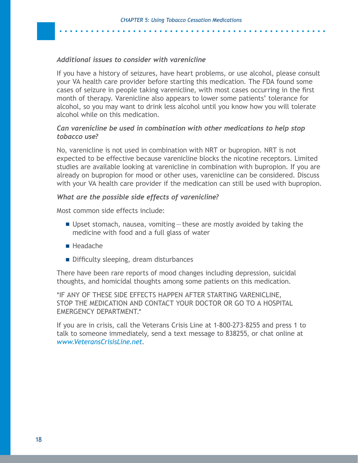. . . . . . . . . . . . . . . . .

#### *Additional issues to consider with varenicline*

If you have a history of seizures, have heart problems, or use alcohol, please consult your VA health care provider before starting this medication. The FDA found some cases of seizure in people taking varenicline, with most cases occurring in the first month of therapy. Varenicline also appears to lower some patients' tolerance for alcohol, so you may want to drink less alcohol until you know how you will tolerate alcohol while on this medication.

#### *Can varenicline be used in combination with other medications to help stop tobacco use?*

No, varenicline is not used in combination with NRT or bupropion. NRT is not expected to be effective because varenicline blocks the nicotine receptors. Limited studies are available looking at varenicline in combination with bupropion. If you are already on bupropion for mood or other uses, varenicline can be considered. Discuss with your VA health care provider if the medication can still be used with bupropion.

#### *What are the possible side effects of varenicline?*

Most common side effects include:

- Upset stomach, nausea, vomiting—these are mostly avoided by taking the medicine with food and a full glass of water
- Headache
- Difficulty sleeping, dream disturbances

There have been rare reports of mood changes including depression, suicidal thoughts, and homicidal thoughts among some patients on this medication.

\*IF ANY OF THESE SIDE EFFECTS HAPPEN AFTER STARTING VARENICLINE, STOP THE MEDICATION AND CONTACT YOUR DOCTOR OR GO TO A HOSPITAL EMERGENCY DEPARTMENT.\*

If you are in crisis, call the Veterans Crisis Line at 1-800-273-8255 and press 1 to talk to someone immediately, send a text message to 838255, or chat online at *[www.VeteransCrisisLine.net](http://www.VeteransCrisisLine.net)*.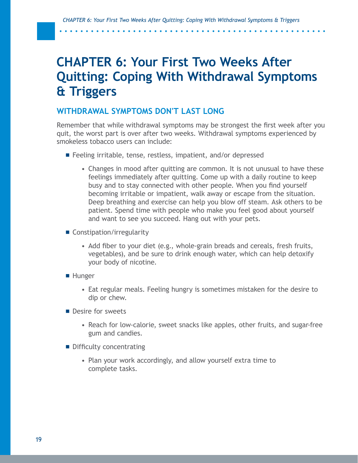. . . . . . . . . . .

# <span id="page-20-0"></span>**CHAPTER 6: Your First Two Weeks After Quitting: Coping With Withdrawal Symptoms & Triggers**

#### **WITHDRAWAL SYMPTOMS DON'T LAST LONG**

Remember that while withdrawal symptoms may be strongest the first week after you quit, the worst part is over after two weeks. Withdrawal symptoms experienced by smokeless tobacco users can include:

- Feeling irritable, tense, restless, impatient, and/or depressed
	- Changes in mood after quitting are common. It is not unusual to have these feelings immediately after quitting. Come up with a daily routine to keep busy and to stay connected with other people. When you find yourself becoming irritable or impatient, walk away or escape from the situation. Deep breathing and exercise can help you blow off steam. Ask others to be patient. Spend time with people who make you feel good about yourself and want to see you succeed. Hang out with your pets.
- Constipation/irregularity
	- Add fiber to your diet (e.g., whole-grain breads and cereals, fresh fruits, vegetables), and be sure to drink enough water, which can help detoxify your body of nicotine.
- **Hunger** 
	- Eat regular meals. Feeling hungry is sometimes mistaken for the desire to dip or chew.
- Desire for sweets
	- Reach for low-calorie, sweet snacks like apples, other fruits, and sugar-free gum and candies.
- **Difficulty concentrating** 
	- Plan your work accordingly, and allow yourself extra time to complete tasks.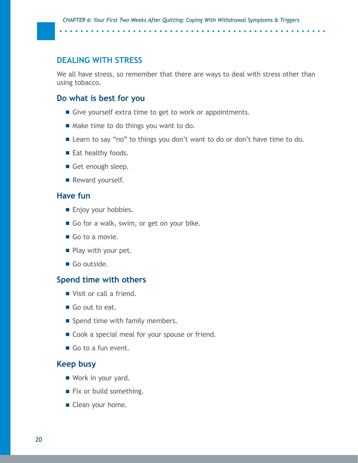#### **DEALING WITH STRESS**

We all have stress, so remember that there are ways to deal with stress other than using tobacco.

#### **Do what is best for you**

Give yourself extra time to get to work or appointments.

**. . . . . . . . . . . . .** 

- Make time to do things you want to do.
- Learn to say "no" to things you don't want to do or don't have time to do.
- Eat healthy foods.
- Get enough sleep.
- Reward yourself.

#### **Have fun**

- **Enjoy your hobbies.**
- Go for a walk, swim, or get on your bike.
- Go to a movie.
- Play with your pet.
- Go outside.

#### **Spend time with others**

- Visit or call a friend.
- Go out to eat.
- Spend time with family members.
- Cook a special meal for your spouse or friend.
- Go to a fun event.

#### **Keep busy**

- Work in your yard.
- Fix or build something.
- Clean your home.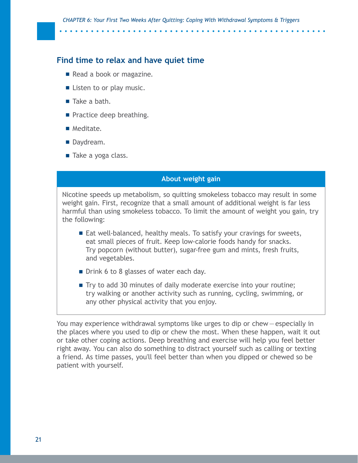#### **Find time to relax and have quiet time**

- Read a book or magazine.
- Listen to or play music.
- Take a bath.
- **Practice deep breathing.**
- **Meditate.**
- Daydream.
- Take a yoga class.

#### **About weight gain**

Nicotine speeds up metabolism, so quitting smokeless tobacco may result in some weight gain. First, recognize that a small amount of additional weight is far less harmful than using smokeless tobacco. To limit the amount of weight you gain, try the following:

- Eat well-balanced, healthy meals. To satisfy your cravings for sweets, eat small pieces of fruit. Keep low-calorie foods handy for snacks. Try popcorn (without butter), sugar-free gum and mints, fresh fruits, and vegetables.
- **Drink 6 to 8 glasses of water each day.**
- Try to add 30 minutes of daily moderate exercise into your routine; try walking or another activity such as running, cycling, swimming, or any other physical activity that you enjoy.

You may experience withdrawal symptoms like urges to dip or chew—especially in the places where you used to dip or chew the most. When these happen, wait it out or take other coping actions. Deep breathing and exercise will help you feel better right away. You can also do something to distract yourself such as calling or texting a friend. As time passes, you'll feel better than when you dipped or chewed so be patient with yourself.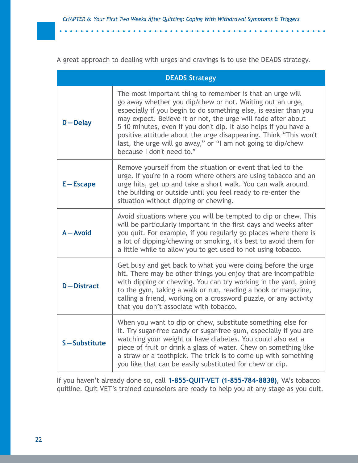. . . . . . . . . . . . . . . .

A great approach to dealing with urges and cravings is to use the DEADS strategy.

| <b>DEADS Strategy</b> |                                                                                                                                                                                                                                                                                                                                                                                                                                                                                                  |  |  |
|-----------------------|--------------------------------------------------------------------------------------------------------------------------------------------------------------------------------------------------------------------------------------------------------------------------------------------------------------------------------------------------------------------------------------------------------------------------------------------------------------------------------------------------|--|--|
| $D -$ Delay           | The most important thing to remember is that an urge will<br>go away whether you dip/chew or not. Waiting out an urge,<br>especially if you begin to do something else, is easier than you<br>may expect. Believe it or not, the urge will fade after about<br>5-10 minutes, even if you don't dip. It also helps if you have a<br>positive attitude about the urge disappearing. Think "This won't<br>last, the urge will go away," or "I am not going to dip/chew<br>because I don't need to." |  |  |
| $E - Escape$          | Remove yourself from the situation or event that led to the<br>urge. If you're in a room where others are using tobacco and an<br>urge hits, get up and take a short walk. You can walk around<br>the building or outside until you feel ready to re-enter the<br>situation without dipping or chewing.                                                                                                                                                                                          |  |  |
| $A - A$ void          | Avoid situations where you will be tempted to dip or chew. This<br>will be particularly important in the first days and weeks after<br>you quit. For example, if you regularly go places where there is<br>a lot of dipping/chewing or smoking, it's best to avoid them for<br>a little while to allow you to get used to not using tobacco.                                                                                                                                                     |  |  |
| <b>D-Distract</b>     | Get busy and get back to what you were doing before the urge<br>hit. There may be other things you enjoy that are incompatible<br>with dipping or chewing. You can try working in the yard, going<br>to the gym, taking a walk or run, reading a book or magazine,<br>calling a friend, working on a crossword puzzle, or any activity<br>that you don't associate with tobacco.                                                                                                                 |  |  |
| S-Substitute          | When you want to dip or chew, substitute something else for<br>it. Try sugar-free candy or sugar-free gum, especially if you are<br>watching your weight or have diabetes. You could also eat a<br>piece of fruit or drink a glass of water. Chew on something like<br>a straw or a toothpick. The trick is to come up with something<br>you like that can be easily substituted for chew or dip.                                                                                                |  |  |

If you haven't already done so, call **1-855-QUIT-VET (1-855-784-8838)**, VA's tobacco quitline. Quit VET's trained counselors are ready to help you at any stage as you quit.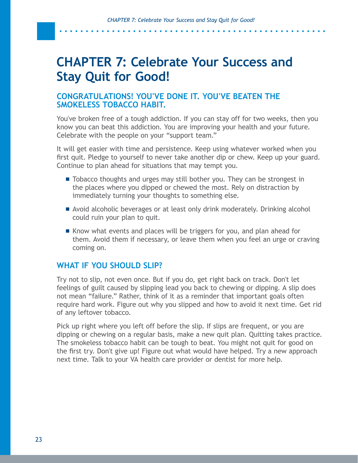. . . . . . . . . .

# <span id="page-24-0"></span>**CHAPTER 7: Celebrate Your Success and Stay Quit for Good!**

#### **CONGRATULATIONS! YOU'VE DONE IT. YOU'VE BEATEN THE SMOKELESS TOBACCO HABIT.**

You've broken free of a tough addiction. If you can stay off for two weeks, then you know you can beat this addiction. You are improving your health and your future. Celebrate with the people on your "support team."

It will get easier with time and persistence. Keep using whatever worked when you first quit. Pledge to yourself to never take another dip or chew. Keep up your guard. Continue to plan ahead for situations that may tempt you.

- Tobacco thoughts and urges may still bother you. They can be strongest in the places where you dipped or chewed the most. Rely on distraction by immediately turning your thoughts to something else.
- Avoid alcoholic beverages or at least only drink moderately. Drinking alcohol could ruin your plan to quit.
- Know what events and places will be triggers for you, and plan ahead for them. Avoid them if necessary, or leave them when you feel an urge or craving coming on.

#### **WHAT IF YOU SHOULD SLIP?**

Try not to slip, not even once. But if you do, get right back on track. Don't let feelings of guilt caused by slipping lead you back to chewing or dipping. A slip does not mean "failure." Rather, think of it as a reminder that important goals often require hard work. Figure out why you slipped and how to avoid it next time. Get rid of any leftover tobacco.

Pick up right where you left off before the slip. If slips are frequent, or you are dipping or chewing on a regular basis, make a new quit plan. Quitting takes practice. The smokeless tobacco habit can be tough to beat. You might not quit for good on the first try. Don't give up! Figure out what would have helped. Try a new approach next time. Talk to your VA health care provider or dentist for more help.